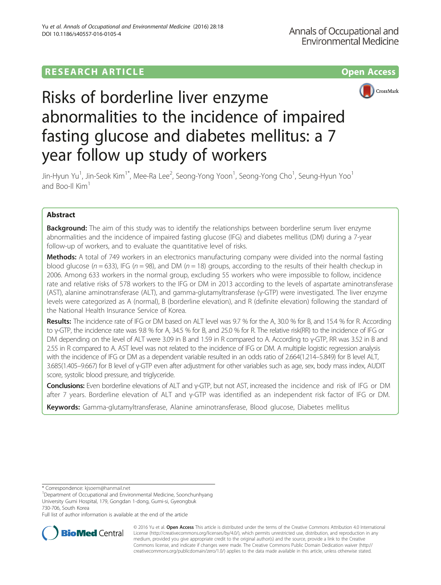# **RESEARCH ARTICLE Example 2014 12:30 The Contract of Contract ACCESS**





# Risks of borderline liver enzyme abnormalities to the incidence of impaired fasting glucose and diabetes mellitus: a 7 year follow up study of workers

Jin-Hyun Yu<sup>1</sup>, Jin-Seok Kim<sup>1\*</sup>, Mee-Ra Lee<sup>2</sup>, Seong-Yong Yoon<sup>1</sup>, Seong-Yong Cho<sup>1</sup>, Seung-Hyun Yoo<sup>1</sup> and Boo-II Kim<sup>1</sup>

# Abstract

**Background:** The aim of this study was to identify the relationships between borderline serum liver enzyme abnormalities and the incidence of impaired fasting glucose (IFG) and diabetes mellitus (DM) during a 7-year follow-up of workers, and to evaluate the quantitative level of risks.

**Methods:** A total of 749 workers in an electronics manufacturing company were divided into the normal fasting blood glucose ( $n = 633$ ), IFG ( $n = 98$ ), and DM ( $n = 18$ ) groups, according to the results of their health checkup in 2006. Among 633 workers in the normal group, excluding 55 workers who were impossible to follow, incidence rate and relative risks of 578 workers to the IFG or DM in 2013 according to the levels of aspartate aminotransferase (AST), alanine aminotransferase (ALT), and gamma-glutamyltransferase (γ-GTP) were investigated. The liver enzyme levels were categorized as A (normal), B (borderline elevation), and R (definite elevation) following the standard of the National Health Insurance Service of Korea.

Results: The incidence rate of IFG or DM based on ALT level was 9.7 % for the A, 30.0 % for B, and 15.4 % for R. According to γ-GTP, the incidence rate was 9.8 % for A, 34.5 % for B, and 25.0 % for R. The relative risk(RR) to the incidence of IFG or DM depending on the level of ALT were 3.09 in B and 1.59 in R compared to A. According to γ-GTP, RR was 3.52 in B and 2.55 in R compared to A. AST level was not related to the incidence of IFG or DM. A multiple logistic regression analysis with the incidence of IFG or DM as a dependent variable resulted in an odds ratio of 2.664(1.214–5.849) for B level ALT, 3.685(1.405–9.667) for B level of γ-GTP even after adjustment for other variables such as age, sex, body mass index, AUDIT score, systolic blood pressure, and triglyceride.

Conclusions: Even borderline elevations of ALT and γ-GTP, but not AST, increased the incidence and risk of IFG or DM after 7 years. Borderline elevation of ALT and γ-GTP was identified as an independent risk factor of IFG or DM.

Keywords: Gamma-glutamyltransferase, Alanine aminotransferase, Blood glucose, Diabetes mellitus

\* Correspondence: [kjsoem@hanmail.net](mailto:kjsoem@hanmail.net) <sup>1</sup>

Full list of author information is available at the end of the article



© 2016 Yu et al. Open Access This article is distributed under the terms of the Creative Commons Attribution 4.0 International License ([http://creativecommons.org/licenses/by/4.0/\)](http://creativecommons.org/licenses/by/4.0/), which permits unrestricted use, distribution, and reproduction in any medium, provided you give appropriate credit to the original author(s) and the source, provide a link to the Creative Commons license, and indicate if changes were made. The Creative Commons Public Domain Dedication waiver ([http://](http://creativecommons.org/publicdomain/zero/1.0/) [creativecommons.org/publicdomain/zero/1.0/\)](http://creativecommons.org/publicdomain/zero/1.0/) applies to the data made available in this article, unless otherwise stated.

<sup>&</sup>lt;sup>1</sup>Department of Occupational and Environmental Medicine, Soonchunhyang University Gumi Hospital, 179, Gongdan 1-dong, Gumi-si, Gyeongbuk 730-706, South Korea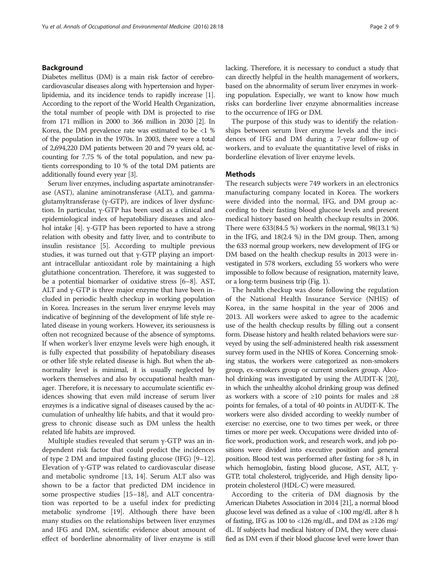# Background

Diabetes mellitus (DM) is a main risk factor of cerebrocardiovascular diseases along with hypertension and hyperlipidemia, and its incidence tends to rapidly increase [[1](#page-7-0)]. According to the report of the World Health Organization, the total number of people with DM is projected to rise from 171 million in 2000 to 366 million in 2030 [\[2\]](#page-7-0). In Korea, the DM prevalence rate was estimated to be <1 % of the population in the 1970s. In 2003, there were a total of 2,694,220 DM patients between 20 and 79 years old, accounting for 7.75 % of the total population, and new patients corresponding to 10 % of the total DM patients are additionally found every year [\[3\]](#page-7-0).

Serum liver enzymes, including aspartate aminotransferase (AST), alanine aminotransferase (ALT), and gammaglutamyltransferase (γ-GTP), are indices of liver dysfunction. In particular, γ-GTP has been used as a clinical and epidemiological index of hepatobiliary diseases and alcohol intake [[4](#page-7-0)]. γ-GTP has been reported to have a strong relation with obesity and fatty liver, and to contribute to insulin resistance [\[5](#page-7-0)]. According to multiple previous studies, it was turned out that γ-GTP playing an important intracellular antioxidant role by maintaining a high glutathione concentration. Therefore, it was suggested to be a potential biomarker of oxidative stress [\[6](#page-7-0)–[8](#page-7-0)]. AST, ALT and  $γ$ -GTP is three major enzyme that have been included in periodic health checkup in working population in Korea. Increases in the serum liver enzyme levels may indicative of beginning of the development of life style related disease in young workers. However, its seriousness is often not recognized because of the absence of symptoms. If when worker's liver enzyme levels were high enough, it is fully expected that possibility of hepatobiliary diseases or other life style related disease is high. But when the abnormality level is minimal, it is usually neglected by workers themselves and also by occupational health manager. Therefore, it is necessary to accumulate scientific evidences showing that even mild increase of serum liver enzymes is a indicative signal of diseases caused by the accumulation of unhealthy life habits, and that it would progress to chronic disease such as DM unless the health related life habits are improved.

Multiple studies revealed that serum  $\gamma$ -GTP was an independent risk factor that could predict the incidences of type 2 DM and impaired fasting glucose (IFG) [[9](#page-7-0)–[12](#page-7-0)]. Elevation of γ-GTP was related to cardiovascular disease and metabolic syndrome [[13](#page-7-0), [14\]](#page-7-0). Serum ALT also was shown to be a factor that predicted DM incidence in some prospective studies [[15](#page-7-0)–[18](#page-8-0)], and ALT concentration was reported to be a useful index for predicting metabolic syndrome [[19](#page-8-0)]. Although there have been many studies on the relationships between liver enzymes and IFG and DM, scientific evidence about amount of effect of borderline abnormality of liver enzyme is still lacking. Therefore, it is necessary to conduct a study that can directly helpful in the health management of workers, based on the abnormality of serum liver enzymes in working population. Especially, we want to know how much risks can borderline liver enzyme abnormalities increase to the occurrence of IFG or DM.

The purpose of this study was to identify the relationships between serum liver enzyme levels and the incidences of IFG and DM during a 7-year follow-up of workers, and to evaluate the quantitative level of risks in borderline elevation of liver enzyme levels.

## **Methods**

The research subjects were 749 workers in an electronics manufacturing company located in Korea. The workers were divided into the normal, IFG, and DM group according to their fasting blood glucose levels and present medical history based on health checkup results in 2006. There were 633(84.5 %) workers in the normal, 98(13.1 %) in the IFG, and 18(2.4 %) in the DM group. Then, among the 633 normal group workers, new development of IFG or DM based on the health checkup results in 2013 were investigated in 578 workers, excluding 55 workers who were impossible to follow because of resignation, maternity leave, or a long-term business trip (Fig. [1](#page-2-0)).

The health checkup was done following the regulation of the National Health Insurance Service (NHIS) of Korea, in the same hospital in the year of 2006 and 2013. All workers were asked to agree to the academic use of the health checkup results by filling out a consent form. Disease history and health related behaviors were surveyed by using the self-administered health risk assessment survey form used in the NHIS of Korea. Concerning smoking status, the workers were categorized as non-smokers group, ex-smokers group or current smokers group. Alcohol drinking was investigated by using the AUDIT-K [\[20](#page-8-0)], in which the unhealthy alcohol drinking group was defined as workers with a score of  $\geq 10$  points for males and  $\geq 8$ points for females, of a total of 40 points in AUDIT-K. The workers were also divided according to weekly number of exercise: no exercise, one to two times per week, or three times or more per week. Occupations were divided into office work, production work, and research work, and job positions were divided into executive position and general position. Blood test was performed after fasting for >8 h, in which hemoglobin, fasting blood glucose, AST, ALT, γ-GTP, total cholesterol, triglyceride, and High density lipoprotein cholesterol (HDL-C) were measured.

According to the criteria of DM diagnosis by the American Diabetes Association in 2014 [\[21\]](#page-8-0), a normal blood glucose level was defined as a value of <100 mg/dL after 8 h of fasting, IFG as 100 to <126 mg/dL, and DM as  $\geq$ 126 mg/ dL. If subjects had medical history of DM, they were classified as DM even if their blood glucose level were lower than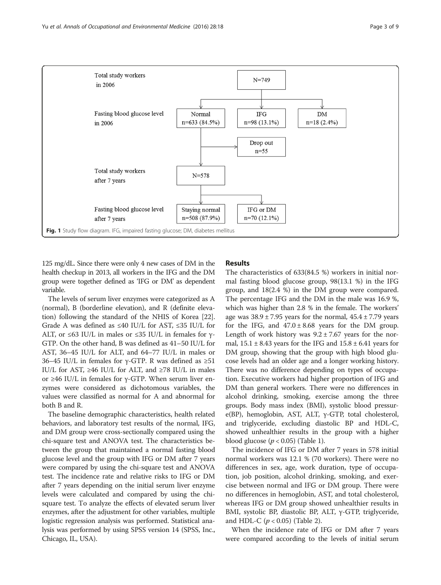<span id="page-2-0"></span>

125 mg/dL. Since there were only 4 new cases of DM in the health checkup in 2013, all workers in the IFG and the DM group were together defined as 'IFG or DM' as dependent variable.

The levels of serum liver enzymes were categorized as A (normal), B (borderline elevation), and R (definite elevation) following the standard of the NHIS of Korea [[22](#page-8-0)]. Grade A was defined as  $\leq 40$  IU/L for AST,  $\leq 35$  IU/L for ALT, or ≤63 IU/L in males or ≤35 IU/L in females for  $\gamma$ -GTP. On the other hand, B was defined as 41–50 IU/L for AST, 36–45 IU/L for ALT, and 64–77 IU/L in males or 36–45 IU/L in females for γ-GTP. R was defined as  $\geq 51$ IU/L for AST,  $\geq 46$  IU/L for ALT, and  $\geq 78$  IU/L in males or ≥46 IU/L in females for γ-GTP. When serum liver enzymes were considered as dichotomous variables, the values were classified as normal for A and abnormal for both B and R.

The baseline demographic characteristics, health related behaviors, and laboratory test results of the normal, IFG, and DM group were cross-sectionally compared using the chi-square test and ANOVA test. The characteristics between the group that maintained a normal fasting blood glucose level and the group with IFG or DM after 7 years were compared by using the chi-square test and ANOVA test. The incidence rate and relative risks to IFG or DM after 7 years depending on the initial serum liver enzyme levels were calculated and compared by using the chisquare test. To analyze the effects of elevated serum liver enzymes, after the adjustment for other variables, multiple logistic regression analysis was performed. Statistical analysis was performed by using SPSS version 14 (SPSS, Inc., Chicago, IL, USA).

# Results

The characteristics of 633(84.5 %) workers in initial normal fasting blood glucose group, 98(13.1 %) in the IFG group, and 18(2.4 %) in the DM group were compared. The percentage IFG and the DM in the male was 16.9 %, which was higher than 2.8 % in the female. The workers' age was  $38.9 \pm 7.95$  years for the normal,  $45.4 \pm 7.79$  years for the IFG, and  $47.0 \pm 8.68$  years for the DM group. Length of work history was  $9.2 \pm 7.67$  years for the normal,  $15.1 \pm 8.43$  years for the IFG and  $15.8 \pm 6.41$  years for DM group, showing that the group with high blood glucose levels had an older age and a longer working history. There was no difference depending on types of occupation. Executive workers had higher proportion of IFG and DM than general workers. There were no differences in alcohol drinking, smoking, exercise among the three groups. Body mass index (BMI), systolic blood pressure(BP), hemoglobin, AST, ALT, γ-GTP, total cholesterol, and triglyceride, excluding diastolic BP and HDL-C, showed unhealthier results in the group with a higher blood glucose  $(p < 0.05)$  (Table [1](#page-3-0)).

The incidence of IFG or DM after 7 years in 578 initial normal workers was 12.1 % (70 workers). There were no differences in sex, age, work duration, type of occupation, job position, alcohol drinking, smoking, and exercise between normal and IFG or DM group. There were no differences in hemoglobin, AST, and total cholesterol, whereas IFG or DM group showed unhealthier results in BMI, systolic BP, diastolic BP, ALT, γ-GTP, triglyceride, and HDL-C  $(p < 0.05)$  (Table [2\)](#page-4-0).

When the incidence rate of IFG or DM after 7 years were compared according to the levels of initial serum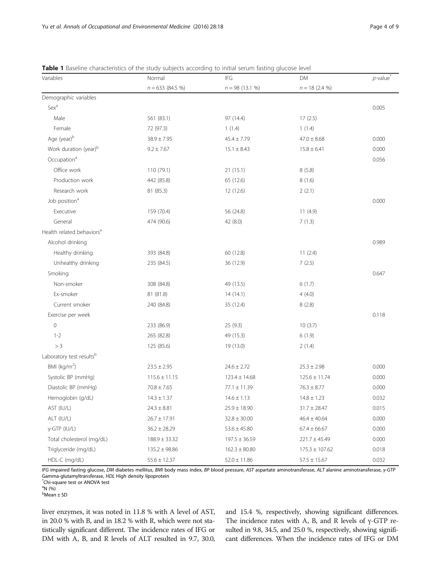| Variables                             | Normal             | <b>IFG</b>        | DM                 | $p$ -value |
|---------------------------------------|--------------------|-------------------|--------------------|------------|
|                                       | $n = 633 (84.5 %)$ | $n = 98(13.1\%)$  | $n = 18(2.4\%)$    |            |
| Demographic variables                 |                    |                   |                    |            |
| Sex <sup>a</sup>                      |                    |                   |                    | 0.005      |
| Male                                  | 561 (83.1)         | 97 (14.4)         | 17(2.5)            |            |
| Female                                | 72 (97.3)          | 1(1.4)            | 1(1.4)             |            |
| Age (year) <sup>b</sup>               | $38.9 \pm 7.95$    | $45.4 \pm 7.79$   | $47.0 \pm 8.68$    | 0.000      |
| Work duration (year) <sup>b</sup>     | $9.2 \pm 7.67$     | $15.1 \pm 8.43$   | $15.8 \pm 6.41$    | 0.000      |
| Occupation <sup>a</sup>               |                    |                   |                    | 0.056      |
| Office work                           | 110 (79.1)         | 21(15.1)          | 8(5.8)             |            |
| Production work                       | 442 (85.8)         | 65 (12.6)         | 8(1.6)             |            |
| Research work                         | 81 (85.3)          | 12 (12.6)         | 2(2.1)             |            |
| Job position <sup>a</sup>             |                    |                   |                    | 0.000      |
| Executive                             | 159 (70.4)         | 56 (24.8)         | 11(4.9)            |            |
| General                               | 474 (90.6)         | 42 (8.0)          | 7(1.3)             |            |
| Health related behaviors <sup>a</sup> |                    |                   |                    |            |
| Alcohol drinking                      |                    |                   |                    | 0.989      |
| Healthy drinking                      | 393 (84.8)         | 60 (12.8)         | 11(2.4)            |            |
| Unhealthy drinking                    | 235 (84.5)         | 36 (12.9)         | 7(2.5)             |            |
| Smoking                               |                    |                   |                    | 0.647      |
| Non-smoker                            | 308 (84.8)         | 49 (13.5)         | 6(1.7)             |            |
| Ex-smoker                             | 81 (81.8)          | 14(14.1)          | 4(4.0)             |            |
| Current smoker                        | 240 (84.8)         | 35 (12.4)         | 8(2.8)             |            |
| Exercise per week                     |                    |                   |                    | 0.118      |
| $\mathbf 0$                           | 233 (86.9)         | 25 (9.3)          | 10(3.7)            |            |
| $1 - 2$                               | 265 (82.8)         | 49 (15.3)         | 6(1.9)             |            |
| > 3                                   | 125 (85.6)         | 19 (13.0)         | 2(1.4)             |            |
| Laboratory test resultsb              |                    |                   |                    |            |
| BMI ( $kg/m2$ )                       | $23.5 \pm 2.95$    | $24.6 \pm 2.72$   | $25.3 \pm 2.98$    | 0.000      |
| Systolic BP (mmHg)                    | $115.6 \pm 11.15$  | $123.4 \pm 14.68$ | $125.6 \pm 11.74$  | 0.000      |
| Diastolic BP (mmHg)                   | $70.8 \pm 7.65$    | $77.1 \pm 11.39$  | $76.3 \pm 8.77$    | 0.000      |
| Hemoglobin (g/dL)                     | $14.3 \pm 1.37$    | $14.6 \pm 1.13$   | $14.8 \pm 1.23$    | 0.032      |
| AST (IU/L)                            | $24.3 \pm 8.81$    | $25.9 \pm 18.90$  | $31.7 \pm 28.47$   | 0.015      |
| ALT (IU/L)                            | $26.7 \pm 17.91$   | $32.8 \pm 30.00$  | $46.4 \pm 40.64$   | 0.000      |
| γ-GTP (IU/L)                          | $36.2 \pm 28.29$   | $53.6 \pm 45.80$  | $67.4 \pm 66.67$   | 0.000      |
| Total cholesterol (mg/dL)             | $188.9 \pm 33.32$  | $197.5 \pm 36.59$ | $221.7 \pm 45.49$  | 0.000      |
| Triglyceride (mg/dL)                  | $135.2 \pm 98.86$  | $162.3 \pm 80.80$ | $175.3 \pm 107.62$ | 0.018      |
| HDL-C (mg/dL)                         | $55.6 \pm 12.37$   | $52.0 \pm 11.86$  | $57.5 \pm 15.67$   | 0.032      |

<span id="page-3-0"></span>**Table 1** Baseline characteristics of the study subjects according to initial serum fasting glucose level

IFG impaired fasting glucose, DM diabetes mellitus, BMI body mass index, BP blood pressure, AST aspartate aminotransferase, ALT alanine aminotransferase, γ-GTP Gamma-glutamyltransferase, HDL High density lipoprotein \*

Chi-square test or ANOVA test

 $\mathrm{^{a}N}$  (%)

b Mean ± SD

liver enzymes, it was noted in 11.8 % with A level of AST, in 20.0 % with B, and in 18.2 % with R, which were not statistically significant different. The incidence rates of IFG or DM with A, B, and R levels of ALT resulted in 9.7, 30.0,

and 15.4 %, respectively, showing significant differences. The incidence rates with A, B, and R levels of  $\gamma$ -GTP resulted in 9.8, 34.5, and 25.0 %, respectively, showing significant differences. When the incidence rates of IFG or DM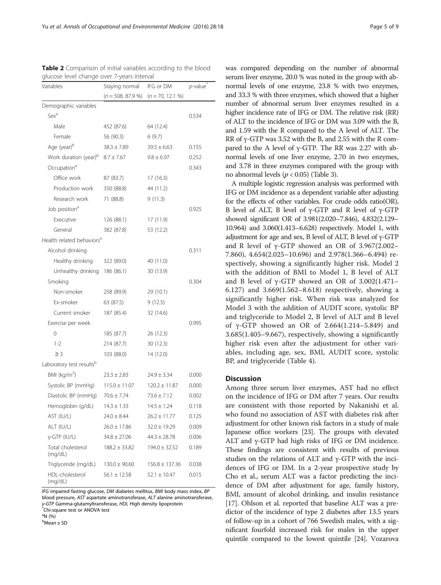| giucose ievei criarige over 7-years interval<br>Variables | Staying normal     | IFG or DM          | $p$ -value |
|-----------------------------------------------------------|--------------------|--------------------|------------|
|                                                           | $(n = 508, 87.9%)$ | $(n = 70, 12.1%)$  |            |
| Demographic variables                                     |                    |                    |            |
| Sex <sup>a</sup>                                          |                    |                    | 0.534      |
| Male                                                      | 452 (87.6)         | 64 (12.4)          |            |
| Female                                                    | 56 (90.3)          | 6(9.7)             |            |
| Age (year) <sup>b</sup>                                   | $38.3 \pm 7.89$    | $39.5 \pm 6.63$    | 0.155      |
| Work duration (year) <sup>b</sup>                         | $8.7 \pm 7.67$     | $9.8 \pm 6.97$     | 0.252      |
| Occupation <sup>a</sup>                                   |                    |                    | 0.343      |
| Office work                                               | 87 (83.7)          | 17(16.3)           |            |
| Production work                                           | 350 (88.8)         | 44 (11.2)          |            |
| Research work                                             | 71 (88.8)          | 9(11.3)            |            |
| Job position <sup>a</sup>                                 |                    |                    | 0.925      |
| Executive                                                 | 126 (88.1)         | 17 (11.9)          |            |
| General                                                   | 382 (87.8)         | 53 (12.2)          |            |
| Health related behaviors <sup>a</sup>                     |                    |                    |            |
| Alcohol drinking                                          |                    |                    | 0.311      |
| Healthy drinking                                          | 322 (89.0)         | 40 (11.0)          |            |
| Unhealthy drinking 186 (86.1)                             |                    | 30 (13.9)          |            |
| Smoking                                                   |                    |                    | 0.304      |
| Non-smoker                                                | 258 (89.9)         | 29 (10.1)          |            |
| Ex-smoker                                                 | 63 (87.5)          | 9(12.5)            |            |
| Current smoker                                            | 187 (85.4)         | 32 (14.6)          |            |
| Exercise per week                                         |                    |                    | 0.995      |
| 0                                                         | 185 (87.7)         | 26 (12.3)          |            |
| $1 - 2$                                                   | 214 (87.7)         | 30 (12.3)          |            |
| $\geq$ 3                                                  | 103 (88.0)         | 14 (12.0)          |            |
| Laboratory test resultsb                                  |                    |                    |            |
| BMI ( $kg/m2$ )                                           | $23.3 \pm 2.83$    | $24.9 \pm 3.34$    | 0.000      |
| Systolic BP (mmHg)                                        | $115.0 \pm 11.07$  | $120.2 \pm 11.87$  | 0.000      |
| Diastolic BP (mmHg)                                       | $70.6 \pm 7.74$    | $73.6 \pm 7.12$    | 0.002      |
| Hemoglobin (g/dL)                                         | $14.3 \pm 1.33$    | $14.5 \pm 1.24$    | 0.118      |
| AST (IU/L)                                                | $24.0 \pm 8.44$    | $26.2 \pm 11.77$   | 0.125      |
| ALT (IU/L)                                                | $26.0 \pm 17.86$   | $32.0 \pm 19.29$   | 0.009      |
| y-GTP (IU/L)                                              | $34.8 \pm 27.06$   | $44.3 \pm 28.78$   | 0.006      |
| Total cholesterol<br>(mg/dL)                              | $188.2 \pm 33.82$  | $194.0 \pm 32.52$  | 0.189      |
| Triglyceride (mg/dL)                                      | $130.0 \pm 90.60$  | $156.8 \pm 137.36$ | 0.038      |
| HDL-cholesterol<br>(mg/dL)                                | $56.1 \pm 12.58$   | $52.1 \pm 10.47$   | 0.015      |

<span id="page-4-0"></span>Table 2 Comparison of initial variables according to the blood glucose level change over 7-years interval

IFG impaired fasting glucose, DM diabetes mellitus, BMI body mass index, BP blood pressure, AST aspartate aminotransferase, ALT alanine aminotransferase, γ-GTP Gamma-glutamyltransferase, HDL High density lipoprotein<br>-<br>Chi-square test or ANOVA test

<sup>a</sup>N (%)

b Mean ± SD

and 33.3 % with three enzymes, which showed that a higher number of abnormal serum liver enzymes resulted in a higher incidence rate of IFG or DM. The relative risk (RR) of ALT to the incidence of IFG or DM was 3.09 with the B, and 1.59 with the R compared to the A level of ALT. The RR of γ-GTP was 3.52 with the B, and 2.55 with the R compared to the A level of  $\gamma$ -GTP. The RR was 2.27 with abnormal levels of one liver enzyme, 2.70 in two enzymes, and 3.78 in three enzymes compared with the group with no abnormal levels ( $p < 0.05$ ) (Table [3\)](#page-5-0).

A multiple logistic regression analysis was performed with IFG or DM incidence as a dependent variable after adjusting for the effects of other variables. For crude odds ratio(OR), B level of ALT, B level of  $γ$ -GTP and R level of  $γ$ -GTP showed significant OR of 3.981(2.020–7.846), 4.832(2.129– 10.964) and 3.060(1.413–6.628) respectively. Model 1, with adjustment for age and sex, B level of ALT, B level of γ-GTP and R level of  $γ$ -GTP showed an OR of 3.967(2.002– 7.860), 4.654(2.025–10.696) and 2.978(1.366–6.494) respectively, showing a significantly higher risk. Model 2 with the addition of BMI to Model 1, B level of ALT and B level of  $γ$ -GTP showed an OR of 3.002(1.471– 6.127) and 3.669(1.562–8.618) respectively, showing a significantly higher risk. When risk was analyzed for Model 3 with the addition of AUDIT score, systolic BP and triglyceride to Model 2, B level of ALT and B level of γ-GTP showed an OR of 2.664(1.214–5.849) and 3.685(1.405–9.667), respectively, showing a significantly higher risk even after the adjustment for other variables, including age, sex, BMI, AUDIT score, systolic BP, and triglyceride (Table [4\)](#page-5-0).

# **Discussion**

Among three serum liver enzymes, AST had no effect on the incidence of IFG or DM after 7 years. Our results are consistent with those reported by Nakanishi et al. who found no association of AST with diabetes risk after adjustment for other known risk factors in a study of male Japanese office workers [[23](#page-8-0)]. The groups with elevated ALT and γ-GTP had high risks of IFG or DM incidence. These findings are consistent with results of previous studies on the relations of ALT and γ-GTP with the incidences of IFG or DM. In a 2-year prospective study by Cho et al., serum ALT was a factor predicting the incidence of DM after adjustment for age, family history, BMI, amount of alcohol drinking, and insulin resistance [[17](#page-7-0)]. Ohlson et al. reported that baseline ALT was a predictor of the incidence of type 2 diabetes after 13.5 years of follow-up in a cohort of 766 Swedish males, with a significant fourfold increased risk for males in the upper quintile compared to the lowest quintile [[24](#page-8-0)]. Vozarova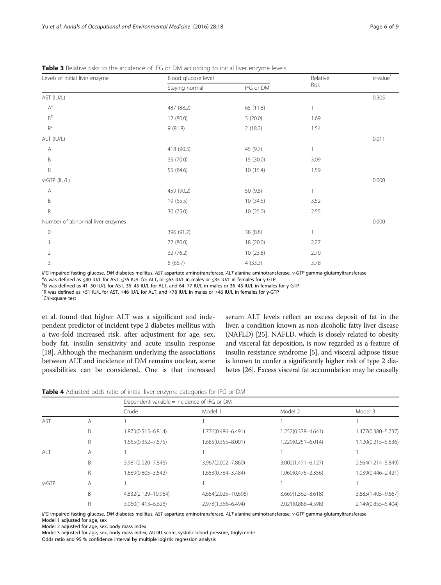<span id="page-5-0"></span>

| <b>Table 3</b> Relative risks to the incidence of IFG or DM according to initial liver enzyme levels |  |
|------------------------------------------------------------------------------------------------------|--|
|------------------------------------------------------------------------------------------------------|--|

| Levels of initial liver enzyme   | Blood glucose level |           | Relative     | $p$ -value <sup>*</sup> |
|----------------------------------|---------------------|-----------|--------------|-------------------------|
|                                  | Staying normal      | IFG or DM | Risk         |                         |
| AST (IU/L)                       |                     |           |              | 0.305                   |
| $A^a$                            | 487 (88.2)          | 65 (11.8) |              |                         |
| $\mathsf{B}^{\mathsf{b}}$        | 12 (80.0)           | 3(20.0)   | 1.69         |                         |
| $\mathsf{R}^\mathsf{c}$          | 9(81.8)             | 2(18.2)   | 1.54         |                         |
| ALT (IU/L)                       |                     |           |              | 0.011                   |
| Α                                | 418 (90.3)          | 45 (9.7)  | 1            |                         |
| B                                | 35 (70.0)           | 15 (30.0) | 3.09         |                         |
| $\mathsf R$                      | 55 (84.6)           | 10 (15.4) | 1.59         |                         |
| γ-GTP (IU/L)                     |                     |           |              | 0.000                   |
| Α                                | 459 (90.2)          | 50 (9.8)  | $\mathbf{1}$ |                         |
| B                                | 19 (65.5)           | 10(34.5)  | 3.52         |                         |
| $\mathsf R$                      | 30 (75.0)           | 10(25.0)  | 2.55         |                         |
| Number of abnormal liver enzymes |                     |           |              | 0.000                   |
| $\circ$                          | 396 (91.2)          | 38 (8.8)  |              |                         |
|                                  | 72 (80.0)           | 18 (20.0) | 2.27         |                         |
| $\overline{2}$                   | 32 (76.2)           | 10(23.8)  | 2.70         |                         |
| 3                                | 8(66.7)             | 4(33.3)   | 3.78         |                         |

IFG impaired fasting glucose, DM diabetes mellitus, AST aspartate aminotransferase, ALT alanine aminotransferase, γ-GTP gamma-glutamyltransferase

<sup>a</sup>A was defined as ≤40 IU/L for AST, ≤35 IU/L for ALT, or ≤63 IU/L in males or ≤35 IU/L in females for γ-GTP

<sup>b</sup>B was defined as 41–50 IU/L for AST, 36–45 IU/L for ALT, and 64–77 IU/L in males or 36–45 IU/L in females for γ-GTP

R was defined as <sup>≥</sup>51 IU/L for AST, <sup>≥</sup>46 IU/L for ALT, and <sup>≥</sup>78 IU/L in males or <sup>≥</sup>46 IU/L in females for <sup>γ</sup>-GTP \*

Chi-square test

et al. found that higher ALT was a significant and independent predictor of incident type 2 diabetes mellitus with a two-fold increased risk, after adjustment for age, sex, body fat, insulin sensitivity and acute insulin response [[18](#page-8-0)]. Although the mechanism underlying the associations between ALT and incidence of DM remains unclear, some possibilities can be considered. One is that increased

serum ALT levels reflect an excess deposit of fat in the liver, a condition known as non-alcoholic fatty liver disease (NAFLD) [[25](#page-8-0)]. NAFLD, which is closely related to obesity and visceral fat deposition, is now regarded as a feature of insulin resistance syndrome [\[5\]](#page-7-0), and visceral adipose tissue is known to confer a significantly higher risk of type 2 diabetes [[26](#page-8-0)]. Excess visceral fat accumulation may be causally

Table 4 Adjusted odds ratio of initial liver enzyme categories for IFG or DM

|            |   |                        | Dependent variable = Incidence of IFG or DM |                        |                    |  |
|------------|---|------------------------|---------------------------------------------|------------------------|--------------------|--|
|            |   | Crude                  | Model 1                                     | Model 2                | Model 3            |  |
| <b>AST</b> | Α |                        |                                             |                        |                    |  |
|            | В | 1.873(0.515-6.814)     | 1.776(0.486-6.491)                          | 1.252(0.338-4.641)     | 1.477(0.380-5.737) |  |
|            | R | $1.665(0.352 - 7.875)$ | 1.685(0.355-8.001)                          | 1.229(0.251-6.014)     | 1.120(0.215-5.836) |  |
| ALT        | Α |                        |                                             |                        |                    |  |
|            | B | 3.981(2.020-7.846)     | 3.967(2.002-7.860)                          | $3.002(1.471 - 6.127)$ | 2.664(1.214-5.849) |  |
|            | R | 1.689(0.805-3.542)     | 1.653(0.784-3.484)                          | 1.060(0.476-2.356)     | 1.039(0.446-2.421) |  |
| $v$ -GTP   | A |                        |                                             |                        |                    |  |
|            | B | 4.832(2.129-10.964)    | 4.654(2.025-10.696)                         | 3.669(1.562-8.618)     | 3.685(1.405-9.667) |  |
|            | R | 3.060(1.413-6.628)     | 2.978(1.366-6.494)                          | 2.021(0.888-4.598)     | 2.149(0.855-5.404) |  |

IFG impaired fasting glucose, DM diabetes mellitus, AST aspartate aminotransferase, ALT alanine aminotransferase, γ-GTP gamma-glutamyltransferase Model 1 adjusted for age, sex

Model 2 adjusted for age, sex, body mass index

Model 3 adjusted for age, sex, body mass index, AUDIT score, systolic blood pressure, triglyceride

Odds ratio and 95 % confidence interval by multiple logistic regression analysis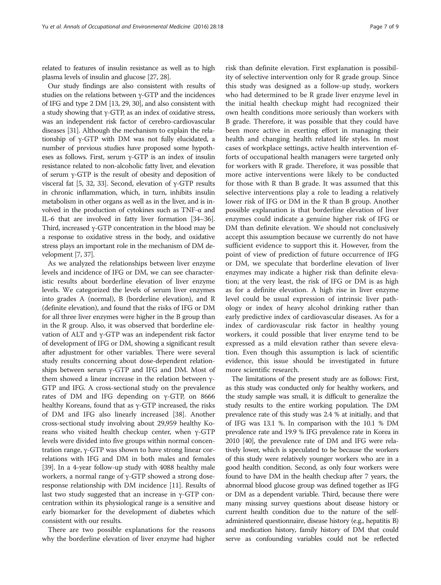related to features of insulin resistance as well as to high plasma levels of insulin and glucose [\[27, 28\]](#page-8-0).

Our study findings are also consistent with results of studies on the relations between  $\gamma$ -GTP and the incidences of IFG and type 2 DM [\[13,](#page-7-0) [29, 30](#page-8-0)], and also consistent with a study showing that γ-GTP, as an index of oxidative stress, was an independent risk factor of cerebro-cardiovascular diseases [\[31](#page-8-0)]. Although the mechanism to explain the relationship of γ-GTP with DM was not fully elucidated, a number of previous studies have proposed some hypotheses as follows. First, serum γ-GTP is an index of insulin resistance related to non-alcoholic fatty liver, and elevation of serum  $\gamma$ -GTP is the result of obesity and deposition of visceral fat [\[5,](#page-7-0) [32, 33\]](#page-8-0). Second, elevation of γ-GTP results in chronic inflammation, which, in turn, inhibits insulin metabolism in other organs as well as in the liver, and is involved in the production of cytokines such as  $TNF-\alpha$  and IL-6 that are involved in fatty liver formation [[34](#page-8-0)–[36](#page-8-0)]. Third, increased γ-GTP concentration in the blood may be a response to oxidative stress in the body, and oxidative stress plays an important role in the mechanism of DM development [\[7,](#page-7-0) [37\]](#page-8-0).

As we analyzed the relationships between liver enzyme levels and incidence of IFG or DM, we can see characteristic results about borderline elevation of liver enzyme levels. We categorized the levels of serum liver enzymes into grades A (normal), B (borderline elevation), and R (definite elevation), and found that the risks of IFG or DM for all three liver enzymes were higher in the B group than in the R group. Also, it was observed that borderline elevation of ALT and γ-GTP was an independent risk factor of development of IFG or DM, showing a significant result after adjustment for other variables. There were several study results concerning about dose-dependent relationships between serum γ-GTP and IFG and DM. Most of them showed a linear increase in the relation between γ-GTP and IFG. A cross-sectional study on the prevalence rates of DM and IFG depending on γ-GTP, on 8666 healthy Koreans, found that as  $\gamma$ -GTP increased, the risks of DM and IFG also linearly increased [\[38](#page-8-0)]. Another cross-sectional study involving about 29,959 healthy Koreans who visited health checkup center, when γ-GTP levels were divided into five groups within normal concentration range, γ-GTP was shown to have strong linear correlations with IFG and DM in both males and females [[39](#page-8-0)]. In a 4-year follow-up study with 4088 healthy male workers, a normal range of γ-GTP showed a strong doseresponse relationship with DM incidence [\[11\]](#page-7-0). Results of last two study suggested that an increase in γ-GTP concentration within its physiological range is a sensitive and early biomarker for the development of diabetes which consistent with our results.

There are two possible explanations for the reasons why the borderline elevation of liver enzyme had higher

risk than definite elevation. First explanation is possibility of selective intervention only for R grade group. Since this study was designed as a follow-up study, workers who had determined to be R grade liver enzyme level in the initial health checkup might had recognized their own health conditions more seriously than workers with B grade. Therefore, it was possible that they could have been more active in exerting effort in managing their health and changing health related life styles. In most cases of workplace settings, active health intervention efforts of occupational health managers were targeted only for workers with R grade. Therefore, it was possible that more active interventions were likely to be conducted for those with R than B grade. It was assumed that this selective interventions play a role to leading a relatively lower risk of IFG or DM in the R than B group. Another possible explanation is that borderline elevation of liver enzymes could indicate a genuine higher risk of IFG or DM than definite elevation. We should not conclusively accept this assumption because we currently do not have sufficient evidence to support this it. However, from the point of view of prediction of future occurrence of IFG or DM, we speculate that borderline elevation of liver enzymes may indicate a higher risk than definite elevation; at the very least, the risk of IFG or DM is as high as for a definite elevation. A high rise in liver enzyme level could be usual expression of intrinsic liver pathology or index of heavy alcohol drinking rather than early predictive index of cardiovascular diseases. As for a index of cardiovascular risk factor in healthy young workers, it could possible that liver enzyme tend to be expressed as a mild elevation rather than severe elevation. Even though this assumption is lack of scientific evidence, this issue should be investigated in future more scientific research.

The limitations of the present study are as follows: First, as this study was conducted only for healthy workers, and the study sample was small, it is difficult to generalize the study results to the entire working population. The DM prevalence rate of this study was 2.4 % at initially, and that of IFG was 13.1 %. In comparison with the 10.1 % DM prevalence rate and 19.9 % IFG prevalence rate in Korea in 2010 [[40\]](#page-8-0), the prevalence rate of DM and IFG were relatively lower, which is speculated to be because the workers of this study were relatively younger workers who are in a good health condition. Second, as only four workers were found to have DM in the health checkup after 7 years, the abnormal blood glucose group was defined together as IFG or DM as a dependent variable. Third, because there were many missing survey questions about disease history or current health condition due to the nature of the selfadministered questionnaire, disease history (e.g., hepatitis B) and medication history, family history of DM that could serve as confounding variables could not be reflected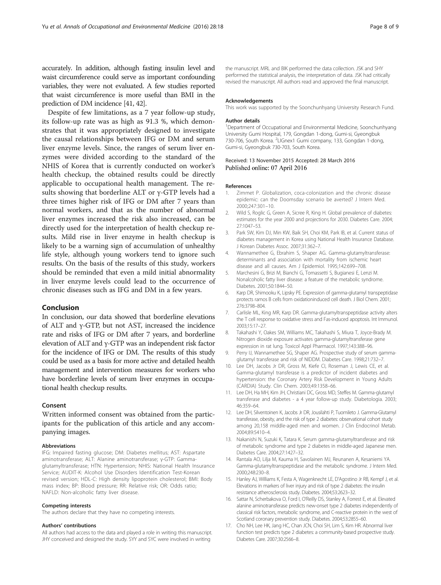<span id="page-7-0"></span>accurately. In addition, although fasting insulin level and waist circumference could serve as important confounding variables, they were not evaluated. A few studies reported that waist circumference is more useful than BMI in the prediction of DM incidence [\[41](#page-8-0), [42](#page-8-0)].

Despite of few limitations, as a 7 year follow-up study, its follow-up rate was as high as 91.3 %, which demonstrates that it was appropriately designed to investigate the causal relationships between IFG or DM and serum liver enzyme levels. Since, the ranges of serum liver enzymes were divided according to the standard of the NHIS of Korea that is currently conducted on worker's health checkup, the obtained results could be directly applicable to occupational health management. The results showing that borderline ALT or γ-GTP levels had a three times higher risk of IFG or DM after 7 years than normal workers, and that as the number of abnormal liver enzymes increased the risk also increased, can be directly used for the interpretation of health checkup results. Mild rise in liver enzyme in health checkup is likely to be a warning sign of accumulation of unhealthy life style, although young workers tend to ignore such results. On the basis of the results of this study, workers should be reminded that even a mild initial abnormality in liver enzyme levels could lead to the occurrence of chronic diseases such as IFG and DM in a few years.

## Conclusion

In conclusion, our data showed that borderline elevations of ALT and γ-GTP, but not AST, increased the incidence rate and risks of IFG or DM after 7 years, and borderline elevation of ALT and γ-GTP was an independent risk factor for the incidence of IFG or DM. The results of this study could be used as a basis for more active and detailed health management and intervention measures for workers who have borderline levels of serum liver enzymes in occupational health checkup results.

### Consent

Written informed consent was obtained from the participants for the publication of this article and any accompanying images.

#### Abbreviations

IFG: Impaired fasting glucose; DM: Diabetes mellitus; AST: Aspartate aminotransferase; ALT: Alanine aminotransferase; γ-GTP: Gammaglutamyltransferase; HTN: Hypertension; NHIS: National Health Insurance Service; AUDIT-K: Alcohol Use Disorders Identification Test-Korean revised version; HDL-C: High density lipoprotein cholesterol; BMI: Body mass index; BP: Blood pressure; RR: Relative risk; OR: Odds ratio; NAFLD: Non-alcoholic fatty liver disease.

#### Competing interests

The authors declare that they have no competing interests.

#### Authors' contributions

All authors had access to the data and played a role in writing this manuscript. JHY conceived and designed the study. SYY and SYC were involved in writing

the manuscript. MRL and BIK performed the data collection. JSK and SHY performed the statistical analysis, the interpretation of data. JSK had critically revised the manuscript. All authors read and approved the final manuscript.

#### Acknowledgements

This work was supported by the Soonchunhyang University Research Fund.

#### Author details

<sup>1</sup>Department of Occupational and Environmental Medicine, Soonchunhyang University Gumi Hospital, 179, Gongdan 1-dong, Gumi-si, Gyeongbuk 730-706, South Korea. <sup>2</sup>LIGnex1 Gumi company, 133, Gongdan 1-dong, Gumi-si, Gyeongbuk 730-703, South Korea.

#### Received: 13 November 2015 Accepted: 28 March 2016 Published online: 07 April 2016

#### References

- 1. Zimmet P. Globalization, coca-colonization and the chronic disease epidemic: can the Doomsday scenario be averted? J Intern Med. 2000;247:301–10.
- 2. Wild S, Roglic G, Green A, Sicree R, King H. Global prevalence of diabetes: estimates for the year 2000 and projections for 2030. Diabetes Care. 2004; 27:1047–53.
- 3. Park SW, Kim DJ, Min KW, Baik SH, Choi KM, Park IB, et al. Current status of diabetes management in Korea using National Health Insurance Database. J Korean Diabetes Assoc. 2007;31:362–7.
- 4. Wannamethee G, Ebrahim S, Shaper AG. Gamma-glutamyltransferase: determinants and association with mortality from ischemic heart disease and all causes. Am J Epidemiol. 1995;142:699–708.
- 5. Marchesini G, Brizi M, Bianchi G, Tomassetti S, Bugianesi E, Lenzi M. Nonalcoholic fatty liver disease: a feature of the metabolic syndrome. Diabetes. 2001;50:1844–50.
- Karp DR, Shimooku K, Lipsky PE. Expression of gamma-glutamyl transpeptidase protects ramos B cells from oxidationinduced cell death. J Biol Chem. 2001; 276:3798–804.
- 7. Carlisle ML, King MR, Karp DR. Gamma-glutamyltranspeptidase activity alters the T cell response to oxidative stress and Fas-induced apoptosis. Int Immunol. 2003;15:17–27.
- 8. Takahashi Y, Oakes SM, Williams MC, Takahashi S, Miura T, Joyce-Brady M. Nitrogen dioxide exposure activates gamma-glutamyltransferase gene expression in rat lung. Toxicol Appl Pharmacol. 1997;143:388–96.
- 9. Perry IJ, Wannamethee SG, Shaper AG. Prospective study of serum gammaglutamyl transferase and risk of NIDDM. Diabetes Care. 1998;21:732–7.
- 10. Lee DH, Jacobs Jr DR, Gross M, Kiefe CI, Roseman J, Lewis CE, et al. Gamma-glutamyl transferase is a predictor of incident diabetes and hypertension: the Coronary Artery Risk Development in Young Adults (CARDIA) Study. Clin Chem. 2003;49:1358–66.
- 11. Lee DH, Ha MH, Kim JH, Christiani DC, Gross MD, Steffes M. Gamma-glutamyl transferase and diabetes - a 4 year follow-up study. Diabetologia. 2003; 46:359–64.
- 12. Lee DH, Silventoinen K, Jacobs Jr DR, Jousilahti P, Tuomileto J. Gamma-Glutamyl transferase, obesity, and the risk of type 2 diabetes: observational cohort study among 20,158 middle-aged men and women. J Clin Endocrinol Metab. 2004;89:5410–4.
- 13. Nakanishi N, Suzuki K, Tatara K. Serum gamma-glutamyltransferase and risk of metabolic syndrome and type 2 diabetes in middle-aged Japanese men. Diabetes Care. 2004;27:1427–32.
- 14. Rantala AO, Lilja M, Kauma H, Savolainen MJ, Reunanen A, Kesaniemi YA. Gamma-glutamyltranspeptidase and the metabolic syndrome. J Intern Med. 2000;248:230–8.
- 15. Hanley AJ, Williams K, Festa A, Wagenknecht LE, D'Agostino Jr RB, Kempf J, et al. Elevations in markers of liver injury and risk of type 2 diabetes: the insulin resistance atherosclerosis study. Diabetes. 2004;53:2623–32.
- 16. Sattar N, Scherbakova O, Ford I, O'Reilly DS, Stanley A, Forrest E, et al. Elevated alanine aminotransferase predicts new-onset type 2 diabetes independently of classical risk factors, metabolic syndrome, and C-reactive protein in the west of Scotland coronary prevention study. Diabetes. 2004;53:2855–60.
- 17. Cho NH, Lee HK, Jang HC, Chan JCN, Choi SH, Lim S, Kim HR. Abnormal liver function test predicts type 2 diabetes: a community-based prospective study. Diabetes Care. 2007;30:2566–8.